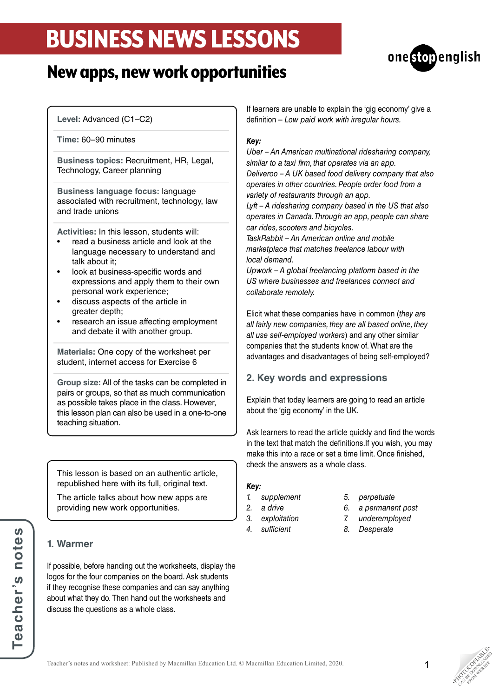## BUSINESS NEWS LESSONS





**Level:** Advanced (C1–C2)

**Time:** 60–90 minutes

**Business topics:** Recruitment, HR, Legal, Technology, Career planning

**Business language focus:** language associated with recruitment, technology, law and trade unions

**Activities:** In this lesson, students will:

- read a business article and look at the language necessary to understand and talk about it;
- look at business-specific words and expressions and apply them to their own personal work experience;
- discuss aspects of the article in greater depth;
- research an issue affecting employment and debate it with another group.

**Materials:** One copy of the worksheet per student, internet access for Exercise 6

**Group size:** All of the tasks can be completed in pairs or groups, so that as much communication as possible takes place in the class. However, this lesson plan can also be used in a one-to-one teaching situation.

This lesson is based on an authentic article, republished here with its full, original text.

The article talks about how new apps are providing new work opportunities.

## **1. Warmer**

If possible, before handing out the worksheets, display the logos for the four companies on the board. Ask students if they recognise these companies and can say anything about what they do. Then hand out the worksheets and discuss the questions as a whole class.

If learners are unable to explain the 'gig economy' give a definition – *Low paid work with irregular hours.*

#### *Key:*

*Uber – An American multinational ridesharing company, similar to a taxi firm, that operates via an app. Deliveroo – A UK based food delivery company that also operates in other countries. People order food from a variety of restaurants through an app.*

*Lyft – A ridesharing company based in the US that also operates in Canada. Through an app, people can share car rides, scooters and bicycles.*

*TaskRabbit – An American online and mobile marketplace that matches freelance labour with local demand.*

*Upwork – A global freelancing platform based in the US where businesses and freelances connect and collaborate remotely.*

Elicit what these companies have in common (*they are all fairly new companies, they are all based online, they all use self-employed workers*) and any other similar companies that the students know of. What are the advantages and disadvantages of being self-employed?

### **2. Key words and expressions**

Explain that today learners are going to read an article about the 'gig economy' in the UK.

Ask learners to read the article quickly and find the words in the text that match the definitions.If you wish, you may make this into a race or set a time limit. Once finished, check the answers as a whole class.

#### *Key:*

- *1. supplement*
- *2. a drive*
- *3. exploitation*
- *4. sufficient*
- *5. perpetuate*
- *6. a permanent post*
- *7. underemployed*
- *8. Desperate*